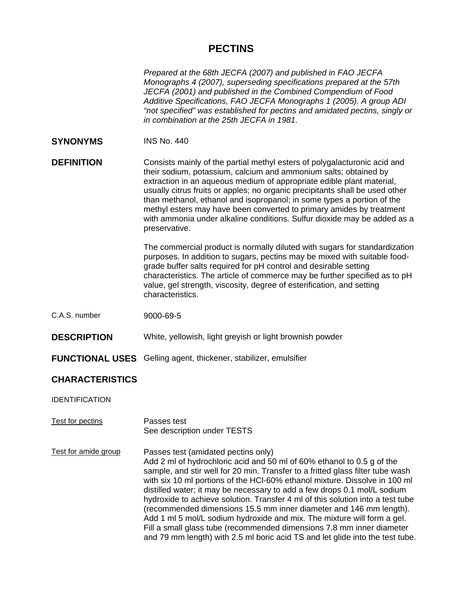# **PECTINS**

*Prepared at the 68th JECFA (2007) and published in FAO JECFA Monographs 4 (2007), superseding specifications prepared at the 57th JECFA (2001) and published in the Combined Compendium of Food Additive Specifications, FAO JECFA Monographs 1 (2005). A group ADI "not specified" was established for pectins and amidated pectins, singly or in combination at the 25th JECFA in 1981.* 

**SYNONYMS** INS No. 440

**DEFINITION** Consists mainly of the partial methyl esters of polygalacturonic acid and their sodium, potassium, calcium and ammonium salts; obtained by extraction in an aqueous medium of appropriate edible plant material, usually citrus fruits or apples; no organic precipitants shall be used other than methanol, ethanol and isopropanol; in some types a portion of the methyl esters may have been converted to primary amides by treatment with ammonia under alkaline conditions. Sulfur dioxide may be added as a preservative.

> The commercial product is normally diluted with sugars for standardization purposes. In addition to sugars, pectins may be mixed with suitable foodgrade buffer salts required for pH control and desirable setting characteristics. The article of commerce may be further specified as to pH value, gel strength, viscosity, degree of esterification, and setting characteristics.

- C.A.S. number 9000-69-5
- **DESCRIPTION** White, yellowish, light greyish or light brownish powder
- **FUNCTIONAL USES** Gelling agent, thickener, stabilizer, emulsifier

### **CHARACTERISTICS**

IDENTIFICATION

- Test for pectins Passes test See description under TESTS
- Test for amide group Passes test (amidated pectins only) Add 2 ml of hydrochloric acid and 50 ml of 60% ethanol to 0.5 g of the sample, and stir well for 20 min. Transfer to a fritted glass filter tube wash with six 10 ml portions of the HCl-60% ethanol mixture. Dissolve in 100 ml distilled water; it may be necessary to add a few drops 0.1 mol/L sodium hydroxide to achieve solution. Transfer 4 ml of this solution into a test tube (recommended dimensions 15.5 mm inner diameter and 146 mm length). Add 1 ml 5 mol/L sodium hydroxide and mix. The mixture will form a gel. Fill a small glass tube (recommended dimensions 7.8 mm inner diameter and 79 mm length) with 2.5 ml boric acid TS and let glide into the test tube.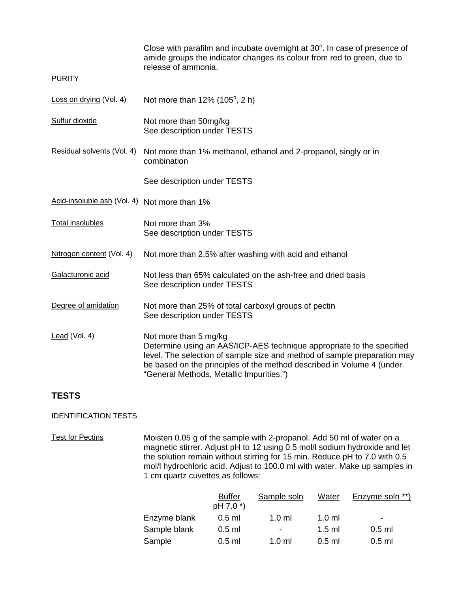|                                              | Close with parafilm and incubate overnight at $30^\circ$ . In case of presence of<br>amide groups the indicator changes its colour from red to green, due to<br>release of ammonia.                                                                                                             |  |
|----------------------------------------------|-------------------------------------------------------------------------------------------------------------------------------------------------------------------------------------------------------------------------------------------------------------------------------------------------|--|
| <b>PURITY</b>                                |                                                                                                                                                                                                                                                                                                 |  |
| Loss on drying (Vol. 4)                      | Not more than $12\%$ (105 $^{\circ}$ , 2 h)                                                                                                                                                                                                                                                     |  |
| Sulfur dioxide                               | Not more than 50mg/kg<br>See description under TESTS                                                                                                                                                                                                                                            |  |
| Residual solvents (Vol. 4)                   | Not more than 1% methanol, ethanol and 2-propanol, singly or in<br>combination                                                                                                                                                                                                                  |  |
|                                              | See description under TESTS                                                                                                                                                                                                                                                                     |  |
| Acid-insoluble ash (Vol. 4) Not more than 1% |                                                                                                                                                                                                                                                                                                 |  |
| <b>Total insolubles</b>                      | Not more than 3%<br>See description under TESTS                                                                                                                                                                                                                                                 |  |
| Nitrogen content (Vol. 4)                    | Not more than 2.5% after washing with acid and ethanol                                                                                                                                                                                                                                          |  |
| Galacturonic acid                            | Not less than 65% calculated on the ash-free and dried basis<br>See description under TESTS                                                                                                                                                                                                     |  |
| Degree of amidation                          | Not more than 25% of total carboxyl groups of pectin<br>See description under TESTS                                                                                                                                                                                                             |  |
| Lead (Vol. 4)                                | Not more than 5 mg/kg<br>Determine using an AAS/ICP-AES technique appropriate to the specified<br>level. The selection of sample size and method of sample preparation may<br>be based on the principles of the method described in Volume 4 (under<br>"General Methods, Metallic Impurities.") |  |

# **TESTS**

## IDENTIFICATION TESTS

Test for Pectins Moisten 0.05 g of the sample with 2-propanol. Add 50 ml of water on a magnetic stirrer. Adjust pH to 12 using 0.5 mol/l sodium hydroxide and let the solution remain without stirring for 15 min. Reduce pH to 7.0 with 0.5 mol/l hydrochloric acid. Adjust to 100.0 ml with water. Make up samples in 1 cm quartz cuvettes as follows:

|              | <b>Buffer</b><br>$pH 7.0^*$ | Sample soln              | Water            | <b>Enzyme soln **)</b> |
|--------------|-----------------------------|--------------------------|------------------|------------------------|
| Enzyme blank | $0.5$ ml                    | $1.0 \text{ ml}$         | $1.0 \text{ ml}$ | ۰                      |
| Sample blank | $0.5$ ml                    | $\overline{\phantom{a}}$ | $1.5$ ml         | $0.5$ ml               |
| Sample       | $0.5$ ml                    | $1.0 \text{ ml}$         | $0.5$ m          | $0.5$ ml               |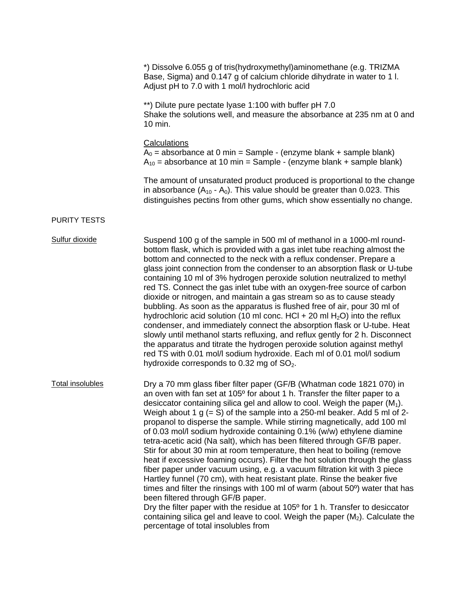|                         | *) Dissolve 6.055 g of tris(hydroxymethyl) aminomethane (e.g. TRIZMA<br>Base, Sigma) and 0.147 g of calcium chloride dihydrate in water to 11.<br>Adjust pH to 7.0 with 1 mol/l hydrochloric acid                                                                                                                                                                                                                                                                                                                                                                                                                                                                                                                                                                                                                                                                                                                                                                                                                                                                                                                                                                                                                              |
|-------------------------|--------------------------------------------------------------------------------------------------------------------------------------------------------------------------------------------------------------------------------------------------------------------------------------------------------------------------------------------------------------------------------------------------------------------------------------------------------------------------------------------------------------------------------------------------------------------------------------------------------------------------------------------------------------------------------------------------------------------------------------------------------------------------------------------------------------------------------------------------------------------------------------------------------------------------------------------------------------------------------------------------------------------------------------------------------------------------------------------------------------------------------------------------------------------------------------------------------------------------------|
|                         | **) Dilute pure pectate lyase 1:100 with buffer pH 7.0<br>Shake the solutions well, and measure the absorbance at 235 nm at 0 and<br>10 min.                                                                                                                                                                                                                                                                                                                                                                                                                                                                                                                                                                                                                                                                                                                                                                                                                                                                                                                                                                                                                                                                                   |
|                         | <b>Calculations</b><br>$A_0$ = absorbance at 0 min = Sample - (enzyme blank + sample blank)<br>$A_{10}$ = absorbance at 10 min = Sample - (enzyme blank + sample blank)                                                                                                                                                                                                                                                                                                                                                                                                                                                                                                                                                                                                                                                                                                                                                                                                                                                                                                                                                                                                                                                        |
|                         | The amount of unsaturated product produced is proportional to the change<br>in absorbance $(A_{10} - A_0)$ . This value should be greater than 0.023. This<br>distinguishes pectins from other gums, which show essentially no change.                                                                                                                                                                                                                                                                                                                                                                                                                                                                                                                                                                                                                                                                                                                                                                                                                                                                                                                                                                                         |
| <b>PURITY TESTS</b>     |                                                                                                                                                                                                                                                                                                                                                                                                                                                                                                                                                                                                                                                                                                                                                                                                                                                                                                                                                                                                                                                                                                                                                                                                                                |
| Sulfur dioxide          | Suspend 100 g of the sample in 500 ml of methanol in a 1000-ml round-<br>bottom flask, which is provided with a gas inlet tube reaching almost the<br>bottom and connected to the neck with a reflux condenser. Prepare a<br>glass joint connection from the condenser to an absorption flask or U-tube<br>containing 10 ml of 3% hydrogen peroxide solution neutralized to methyl<br>red TS. Connect the gas inlet tube with an oxygen-free source of carbon<br>dioxide or nitrogen, and maintain a gas stream so as to cause steady<br>bubbling. As soon as the apparatus is flushed free of air, pour 30 ml of<br>hydrochloric acid solution (10 ml conc. $HCI + 20$ ml $H2O$ ) into the reflux<br>condenser, and immediately connect the absorption flask or U-tube. Heat<br>slowly until methanol starts refluxing, and reflux gently for 2 h. Disconnect<br>the apparatus and titrate the hydrogen peroxide solution against methyl<br>red TS with 0.01 mol/l sodium hydroxide. Each ml of 0.01 mol/l sodium<br>hydroxide corresponds to 0.32 mg of $SO2$ .                                                                                                                                                              |
| <b>Total insolubles</b> | Dry a 70 mm glass fiber filter paper (GF/B (Whatman code 1821 070) in<br>an oven with fan set at 105° for about 1 h. Transfer the filter paper to a<br>desiccator containing silica gel and allow to cool. Weigh the paper $(M_1)$ .<br>Weigh about 1 $g$ (= S) of the sample into a 250-ml beaker. Add 5 ml of 2-<br>propanol to disperse the sample. While stirring magnetically, add 100 ml<br>of 0.03 mol/l sodium hydroxide containing 0.1% (w/w) ethylene diamine<br>tetra-acetic acid (Na salt), which has been filtered through GF/B paper.<br>Stir for about 30 min at room temperature, then heat to boiling (remove<br>heat if excessive foaming occurs). Filter the hot solution through the glass<br>fiber paper under vacuum using, e.g. a vacuum filtration kit with 3 piece<br>Hartley funnel (70 cm), with heat resistant plate. Rinse the beaker five<br>times and filter the rinsings with 100 ml of warm (about $50^{\circ}$ ) water that has<br>been filtered through GF/B paper.<br>Dry the filter paper with the residue at 105 <sup>°</sup> for 1 h. Transfer to desiccator<br>containing silica gel and leave to cool. Weigh the paper $(M_2)$ . Calculate the<br>percentage of total insolubles from |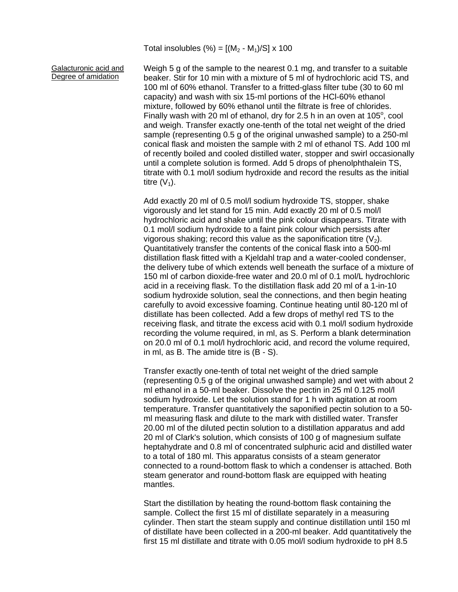Total insolubles (%) =  $[(M_2 - M_1)/S] \times 100$ 

Galacturonic acid and Degree of amidation

Weigh 5 g of the sample to the nearest 0.1 mg, and transfer to a suitable beaker. Stir for 10 min with a mixture of 5 ml of hydrochloric acid TS, and 100 ml of 60% ethanol. Transfer to a fritted-glass filter tube (30 to 60 ml capacity) and wash with six 15-ml portions of the HCl-60% ethanol mixture, followed by 60% ethanol until the filtrate is free of chlorides. Finally wash with 20 ml of ethanol, dry for 2.5 h in an oven at 105 $^{\circ}$ , cool and weigh. Transfer exactly one-tenth of the total net weight of the dried sample (representing 0.5 g of the original unwashed sample) to a 250-ml conical flask and moisten the sample with 2 ml of ethanol TS. Add 100 ml of recently boiled and cooled distilled water, stopper and swirl occasionally until a complete solution is formed. Add 5 drops of phenolphthalein TS, titrate with 0.1 mol/l sodium hydroxide and record the results as the initial titre  $(V_1)$ .

Add exactly 20 ml of 0.5 mol/l sodium hydroxide TS, stopper, shake vigorously and let stand for 15 min. Add exactly 20 ml of 0.5 mol/l hydrochloric acid and shake until the pink colour disappears. Titrate with 0.1 mol/l sodium hydroxide to a faint pink colour which persists after vigorous shaking; record this value as the saponification titre  $(V_2)$ . Quantitatively transfer the contents of the conical flask into a 500-ml distillation flask fitted with a Kjeldahl trap and a water-cooled condenser, the delivery tube of which extends well beneath the surface of a mixture of 150 ml of carbon dioxide-free water and 20.0 ml of 0.1 mol/L hydrochloric acid in a receiving flask. To the distillation flask add 20 ml of a 1-in-10 sodium hydroxide solution, seal the connections, and then begin heating carefully to avoid excessive foaming. Continue heating until 80-120 ml of distillate has been collected. Add a few drops of methyl red TS to the receiving flask, and titrate the excess acid with 0.1 mol/l sodium hydroxide recording the volume required, in ml, as S. Perform a blank determination on 20.0 ml of 0.1 mol/l hydrochloric acid, and record the volume required, in ml, as B. The amide titre is (B - S).

Transfer exactly one-tenth of total net weight of the dried sample (representing 0.5 g of the original unwashed sample) and wet with about 2 ml ethanol in a 50-ml beaker. Dissolve the pectin in 25 ml 0.125 mol/l sodium hydroxide. Let the solution stand for 1 h with agitation at room temperature. Transfer quantitatively the saponified pectin solution to a 50 ml measuring flask and dilute to the mark with distilled water. Transfer 20.00 ml of the diluted pectin solution to a distillation apparatus and add 20 ml of Clark's solution, which consists of 100 g of magnesium sulfate heptahydrate and 0.8 ml of concentrated sulphuric acid and distilled water to a total of 180 ml. This apparatus consists of a steam generator connected to a round-bottom flask to which a condenser is attached. Both steam generator and round-bottom flask are equipped with heating mantles.

Start the distillation by heating the round-bottom flask containing the sample. Collect the first 15 ml of distillate separately in a measuring cylinder. Then start the steam supply and continue distillation until 150 ml of distillate have been collected in a 200-ml beaker. Add quantitatively the first 15 ml distillate and titrate with 0.05 mol/l sodium hydroxide to pH 8.5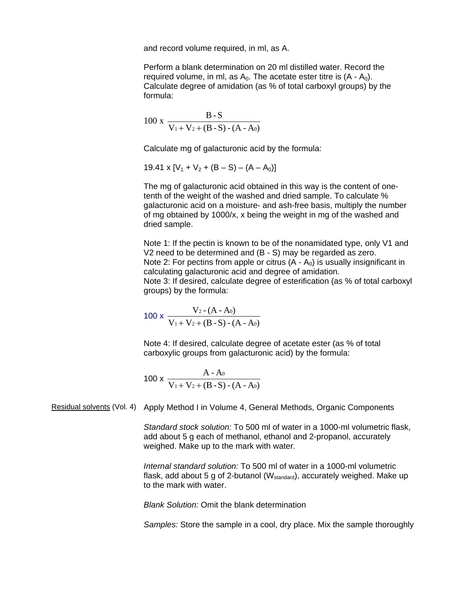and record volume required, in ml, as A.

Perform a blank determination on 20 ml distilled water. Record the required volume, in ml, as  $A_0$ . The acetate ester titre is  $(A - A_0)$ . Calculate degree of amidation (as % of total carboxyl groups) by the formula:

$$
100 \text{ x } \frac{\text{B-S}}{\text{V}_1 + \text{V}_2 + (\text{B-S}) - (\text{A-A0})}
$$

Calculate mg of galacturonic acid by the formula:

19.41 x  $[V_1 + V_2 + (B - S) - (A - A_0)]$ 

The mg of galacturonic acid obtained in this way is the content of onetenth of the weight of the washed and dried sample. To calculate % galacturonic acid on a moisture- and ash-free basis, multiply the number of mg obtained by 1000/x, x being the weight in mg of the washed and dried sample.

Note 1: If the pectin is known to be of the nonamidated type, only V1 and V2 need to be determined and (B - S) may be regarded as zero. Note 2: For pectins from apple or citrus  $(A - A_0)$  is usually insignificant in calculating galacturonic acid and degree of amidation. Note 3: If desired, calculate degree of esterification (as % of total carboxyl groups) by the formula:

$$
100 \times \frac{V_2 - (A - A_0)}{V_1 + V_2 + (B - S) - (A - A_0)}
$$

Note 4: If desired, calculate degree of acetate ester (as % of total carboxylic groups from galacturonic acid) by the formula:

$$
100 \times \frac{A - A_0}{V_1 + V_2 + (B - S) - (A - A_0)}
$$

Residual solvents (Vol. 4) Apply Method I in Volume 4, General Methods, Organic Components

*Standard stock solution:* To 500 ml of water in a 1000-ml volumetric flask, add about 5 g each of methanol, ethanol and 2-propanol, accurately weighed. Make up to the mark with water.

*Internal standard solution:* To 500 ml of water in a 1000-ml volumetric flask, add about 5 g of 2-butanol ( $W_{standard}$ ), accurately weighed. Make up to the mark with water.

*Blank Solution:* Omit the blank determination

*Samples:* Store the sample in a cool, dry place. Mix the sample thoroughly